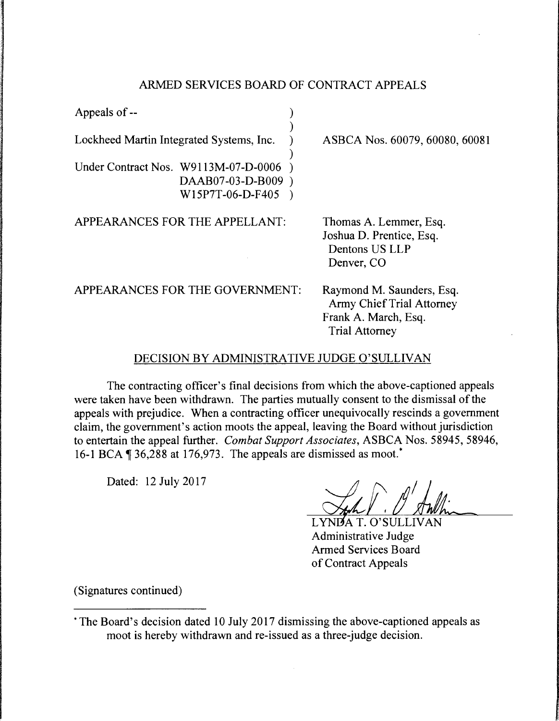## ARMED SERVICES BOARD OF CONTRACT APPEALS

| Appeals of --                                                                 |                                                                                                         |
|-------------------------------------------------------------------------------|---------------------------------------------------------------------------------------------------------|
| Lockheed Martin Integrated Systems, Inc.                                      | ASBCA Nos. 60079, 60080, 60081                                                                          |
| Under Contract Nos. W9113M-07-D-0006<br>DAAB07-03-D-B009)<br>W15P7T-06-D-F405 |                                                                                                         |
| APPEARANCES FOR THE APPELLANT:                                                | Thomas A. Lemmer, Esq.<br>Joshua D. Prentice, Esq.<br>Dentons US LLP<br>Denver, CO                      |
| APPEARANCES FOR THE GOVERNMENT:                                               | Raymond M. Saunders, Esq.<br>Army Chief Trial Attorney<br>Frank A. March, Esq.<br><b>Trial Attorney</b> |

## DECISION BY ADMINISTRATIVE JUDGE O'SULLIVAN

The contracting officer's final decisions from which the above-captioned appeals were taken have been withdrawn. The parties mutually consent to the dismissal of the appeals with prejudice. When a contracting officer unequivocally rescinds a government claim, the government's action moots the appeal, leaving the Board without jurisdiction to entertain the appeal further. *Combat Support Associates,* ASBCA Nos. 58945, 58946, 16-1 BCA  $\P$  36,288 at 176,973. The appeals are dismissed as moot.<sup>\*</sup>

Dated: 12 July 2017

LYNDA T. O'SULLIVAN Administrative Judge **Armed Services Board** of Contract Appeals

(Signatures continued)

<sup>·</sup>The Board's decision dated 10 July 2017 dismissing the above-captioned appeals as moot is hereby withdrawn and re-issued as a three-judge decision.